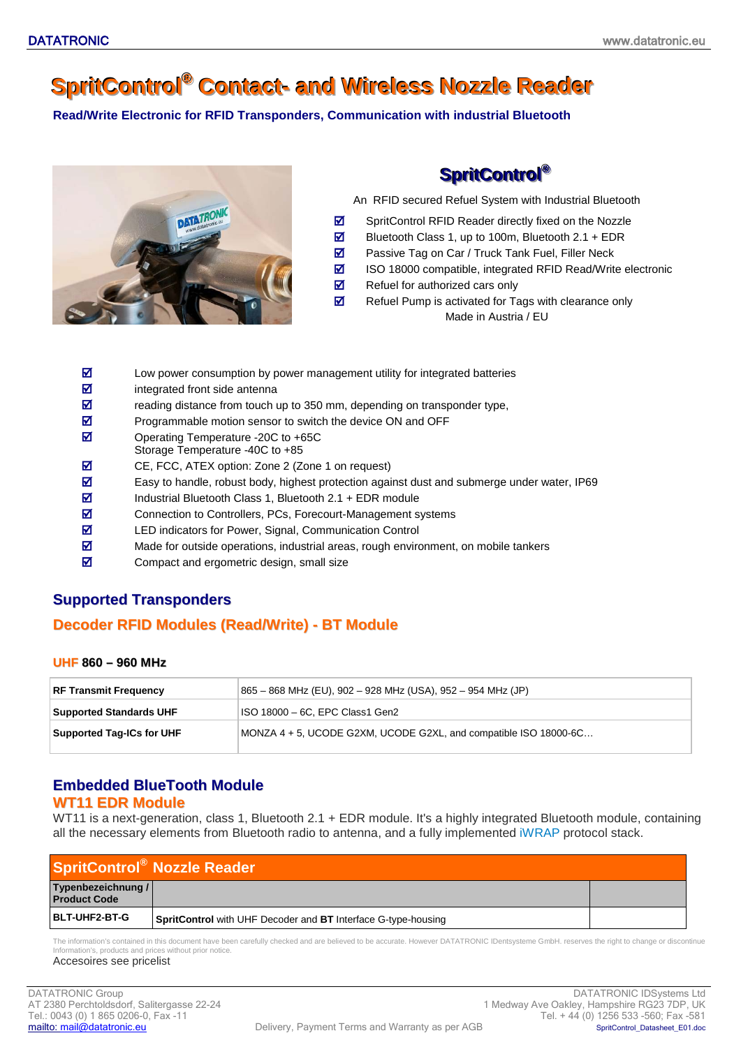# **SpritControl<sup>®</sup> Contact- and Wireless Nozzle Reader**

**Read/Write Electronic for RFID Transponders, Communication with industrial Bluetooth**



**SpritControl®** 

An RFID secured Refuel System with Industrial Bluetooth

- SpritControl RFID Reader directly fixed on the Nozzle
- $\overline{\mathbf{z}}$  Bluetooth Class 1, up to 100m, Bluetooth 2.1 + EDR
- $\overline{\mathbf{z}}$  Passive Tag on Car / Truck Tank Fuel, Filler Neck
- ISO 18000 compatible, integrated RFID Read/Write electronic
- $\overline{\mathbf{z}}$  Refuel for authorized cars only
- $\boxtimes$  Refuel Pump is activated for Tags with clearance only Made in Austria / EU
- $\boxtimes$  Low power consumption by power management utility for integrated batteries
- $\overline{\mathbf{z}}$  integrated front side antenna
- $\overline{z}$  reading distance from touch up to 350 mm, depending on transponder type,
- Programmable motion sensor to switch the device ON and OFF
- **Ø** Operating Temperature -20C to +65C
- Storage Temperature -40C to +85
- CE, FCC, ATEX option: Zone 2 (Zone 1 on request)
- $\boxtimes$  Easy to handle, robust body, highest protection against dust and submerge under water, IP69
- $\overline{\mathbf{2}}$  Industrial Bluetooth Class 1, Bluetooth 2.1 + EDR module
- **Z** Connection to Controllers, PCs, Forecourt-Management systems
- **Z** LED indicators for Power, Signal, Communication Control
- $\boxtimes$  Made for outside operations, industrial areas, rough environment, on mobile tankers
- $\boxtimes$  Compact and ergometric design, small size

## **Supported Transponders**

### **Decoder RFID Modules (Read/Write) - BT Module**

#### **UHF 860 – 960 MHz**

| <b>RF Transmit Frequency</b>   | 865 – 868 MHz (EU), 902 – 928 MHz (USA), 952 – 954 MHz (JP)      |
|--------------------------------|------------------------------------------------------------------|
| <b>Supported Standards UHF</b> | ISO 18000 - 6C, EPC Class1 Gen2                                  |
| Supported Tag-ICs for UHF      | MONZA 4 + 5, UCODE G2XM, UCODE G2XL, and compatible ISO 18000-6C |

## **Embedded BlueTooth Module**

### **WT11 EDR Module**

WT11 is a next-generation, class 1, Bluetooth 2.1 + EDR module. It's a highly integrated Bluetooth module, containing all the necessary elements from Bluetooth radio to antenna, and a fully implemented [iWRAP](http://www.bluegiga.com/iWRAP_module_firmware) protocol stack.

| <b>SpritControl</b> ® Nozzle Reader       |                                                                             |  |
|-------------------------------------------|-----------------------------------------------------------------------------|--|
| Typenbezeichnung /<br><b>Product Code</b> |                                                                             |  |
| <b>BLT-UHF2-BT-G</b>                      | <b>SpritControl</b> with UHF Decoder and <b>BT</b> Interface G-type-housing |  |

The information's contained in this document have been carefully checked and are believed to be accurate. However DATATRONIC IDentsysteme GmbH. reserves the right to change or discontinue Information's, products and prices without prior notice. Accesoires see pricelist